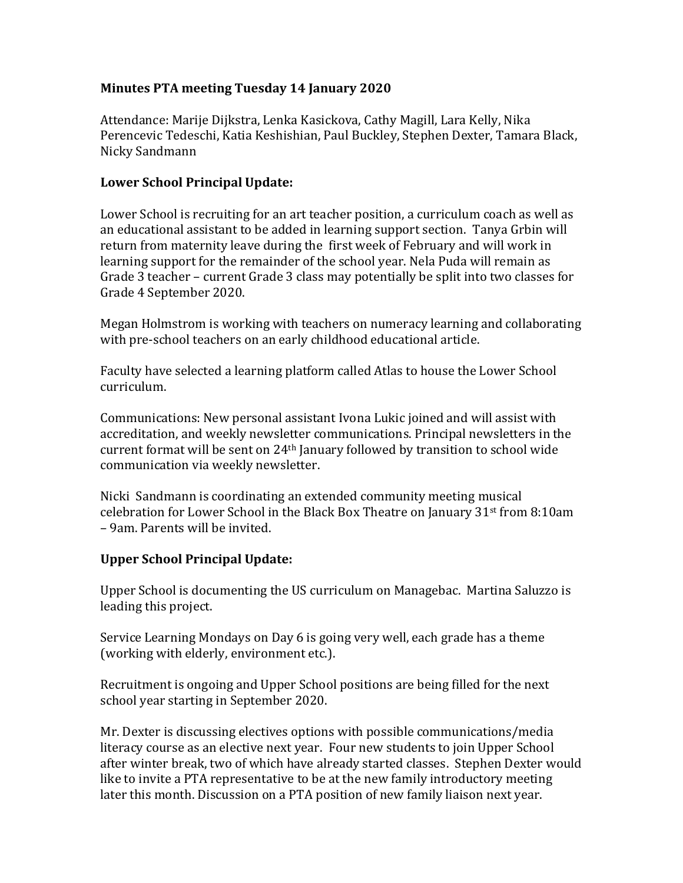## **Minutes PTA meeting Tuesday 14 January 2020**

Attendance: Marije Dijkstra, Lenka Kasickova, Cathy Magill, Lara Kelly, Nika Perencevic Tedeschi, Katia Keshishian, Paul Buckley, Stephen Dexter, Tamara Black, Nicky Sandmann

## **Lower School Principal Update:**

Lower School is recruiting for an art teacher position, a curriculum coach as well as an educational assistant to be added in learning support section. Tanya Grbin will return from maternity leave during the first week of February and will work in learning support for the remainder of the school year. Nela Puda will remain as Grade 3 teacher – current Grade 3 class may potentially be split into two classes for Grade 4 September 2020.

Megan Holmstrom is working with teachers on numeracy learning and collaborating with pre-school teachers on an early childhood educational article.

Faculty have selected a learning platform called Atlas to house the Lower School curriculum.

Communications: New personal assistant Ivona Lukic joined and will assist with accreditation, and weekly newsletter communications. Principal newsletters in the current format will be sent on 24th January followed by transition to school wide communication via weekly newsletter.

Nicki Sandmann is coordinating an extended community meeting musical celebration for Lower School in the Black Box Theatre on January 31st from 8:10am – 9am. Parents will be invited.

### **Upper School Principal Update:**

Upper School is documenting the US curriculum on Managebac. Martina Saluzzo is leading this project.

Service Learning Mondays on Day 6 is going very well, each grade has a theme (working with elderly, environment etc.).

Recruitment is ongoing and Upper School positions are being filled for the next school year starting in September 2020.

Mr. Dexter is discussing electives options with possible communications/media literacy course as an elective next year. Four new students to join Upper School after winter break, two of which have already started classes. Stephen Dexter would like to invite a PTA representative to be at the new family introductory meeting later this month. Discussion on a PTA position of new family liaison next year.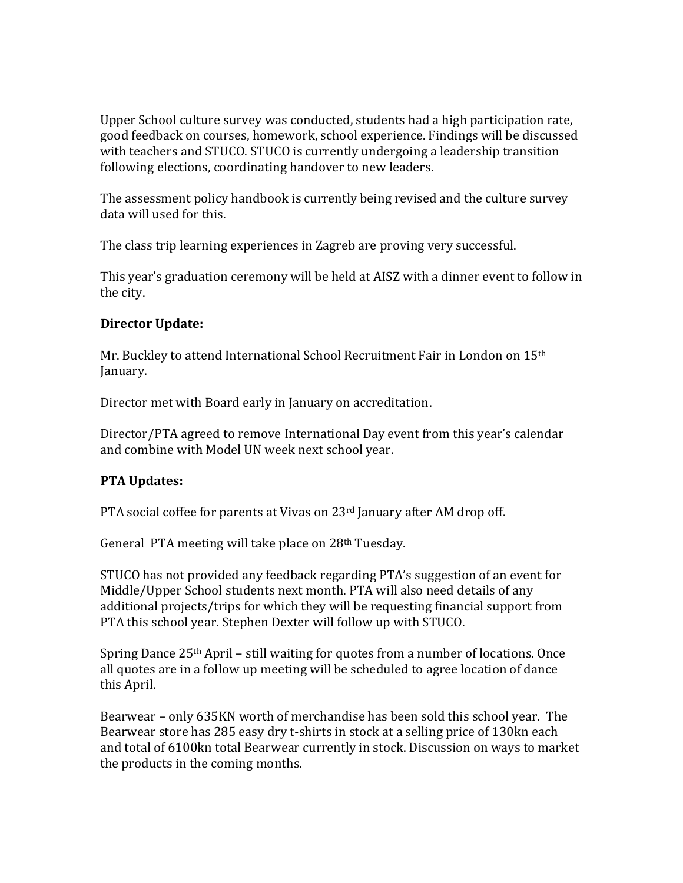Upper School culture survey was conducted, students had a high participation rate, good feedback on courses, homework, school experience. Findings will be discussed with teachers and STUCO. STUCO is currently undergoing a leadership transition following elections, coordinating handover to new leaders.

The assessment policy handbook is currently being revised and the culture survey data will used for this.

The class trip learning experiences in Zagreb are proving very successful.

This year's graduation ceremony will be held at AISZ with a dinner event to follow in the city.

# **Director Update:**

Mr. Buckley to attend International School Recruitment Fair in London on 15th January.

Director met with Board early in January on accreditation.

Director/PTA agreed to remove International Day event from this year's calendar and combine with Model UN week next school year.

# **PTA Updates:**

PTA social coffee for parents at Vivas on 23<sup>rd</sup> January after AM drop off.

General PTA meeting will take place on 28th Tuesday.

STUCO has not provided any feedback regarding PTA's suggestion of an event for Middle/Upper School students next month. PTA will also need details of any additional projects/trips for which they will be requesting financial support from PTA this school year. Stephen Dexter will follow up with STUCO.

Spring Dance 25<sup>th</sup> April – still waiting for quotes from a number of locations. Once all quotes are in a follow up meeting will be scheduled to agree location of dance this April.

Bearwear – only 635KN worth of merchandise has been sold this school year. The Bearwear store has 285 easy dry t-shirts in stock at a selling price of 130kn each and total of 6100kn total Bearwear currently in stock. Discussion on ways to market the products in the coming months.